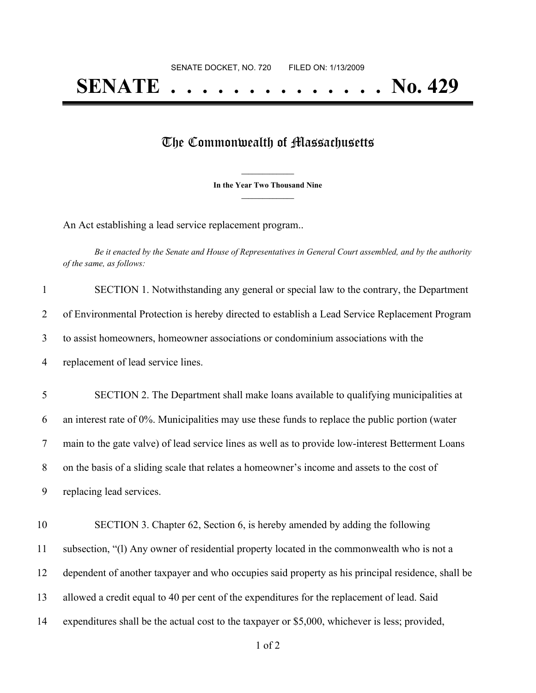## **SENATE . . . . . . . . . . . . . . No. 429**

## The Commonwealth of Massachusetts

**\_\_\_\_\_\_\_\_\_\_\_\_\_\_\_ In the Year Two Thousand Nine \_\_\_\_\_\_\_\_\_\_\_\_\_\_\_**

An Act establishing a lead service replacement program..

Be it enacted by the Senate and House of Representatives in General Court assembled, and by the authority *of the same, as follows:*

| $\mathbf{1}$   | SECTION 1. Notwithstanding any general or special law to the contrary, the Department             |
|----------------|---------------------------------------------------------------------------------------------------|
| $\overline{2}$ | of Environmental Protection is hereby directed to establish a Lead Service Replacement Program    |
| 3              | to assist homeowners, homeowner associations or condominium associations with the                 |
| $\overline{4}$ | replacement of lead service lines.                                                                |
| 5              | SECTION 2. The Department shall make loans available to qualifying municipalities at              |
| 6              | an interest rate of 0%. Municipalities may use these funds to replace the public portion (water   |
| $\tau$         | main to the gate valve) of lead service lines as well as to provide low-interest Betterment Loans |
| 8              | on the basis of a sliding scale that relates a homeowner's income and assets to the cost of       |
| 9              | replacing lead services.                                                                          |
| 10             | SECTION 3. Chapter 62, Section 6, is hereby amended by adding the following                       |
| 11             | subsection, "(1) Any owner of residential property located in the commonwealth who is not a       |
| 12             | dependent of another taxpayer and who occupies said property as his principal residence, shall be |
| 13             | allowed a credit equal to 40 per cent of the expenditures for the replacement of lead. Said       |
| 14             | expenditures shall be the actual cost to the taxpayer or \$5,000, whichever is less; provided,    |